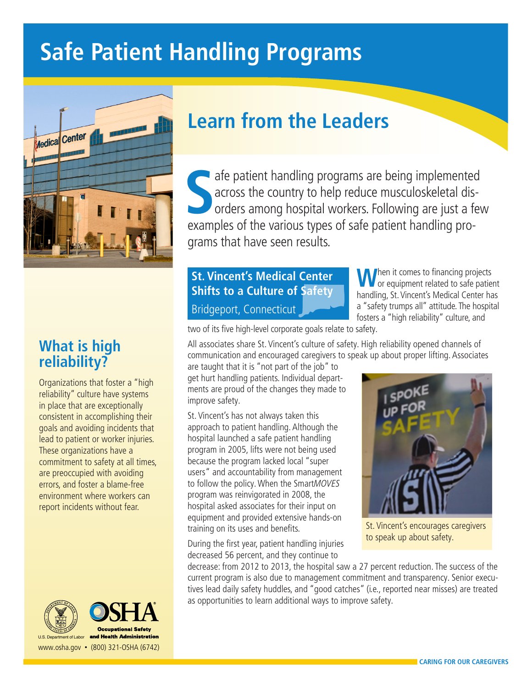# **Safe Patient Handling Programs**



## **What is high reliability?**

Organizations that foster a "high reliability" culture have systems in place that are exceptionally consistent in accomplishing their goals and avoiding incidents that lead to patient or worker injuries. These organizations have a commitment to safety at all times, are preoccupied with avoiding errors, and foster a blame-free environment where workers can report incidents without fear.





U.S. Department of Labor www.osha.gov • (800) 321-OSHA (6742)

## **Learn from the Leaders**

**S** examples of the various types of safe patient handling proafe patient handling programs are being implemented across the country to help reduce musculoskeletal disorders among hospital workers. Following are just a few grams that have seen results.

## **St. Vincent's Medical Center Shifts to a Culture of Safety** Bridgeport, Connecticut

**M** hen it comes to financing projects or equipment related to safe patient handling, St. Vincent's Medical Center has a "safety trumps all" attitude. The hospital fosters a "high reliability" culture, and

two of its five high-level corporate goals relate to safety.

All associates share St. Vincent's culture of safety. High reliability opened channels of communication and encouraged caregivers to speak up about proper lifting. Associates

are taught that it is "not part of the job" to get hurt handling patients. Individual departments are proud of the changes they made to improve safety.

St. Vincent's has not always taken this approach to patient handling. Although the hospital launched a safe patient handling program in 2005, lifts were not being used because the program lacked local "super users" and accountability from management to follow the policy. When the SmartMOVES program was reinvigorated in 2008, the hospital asked associates for their input on equipment and provided extensive hands-on training on its uses and benefits.

During the first year, patient handling injuries decreased 56 percent, and they continue to



St. Vincent's encourages caregivers to speak up about safety.

decrease: from 2012 to 2013, the hospital saw a 27 percent reduction. The success of the current program is also due to management commitment and transparency. Senior executives lead daily safety huddles, and "good catches" (i.e., reported near misses) are treated as opportunities to learn additional ways to improve safety.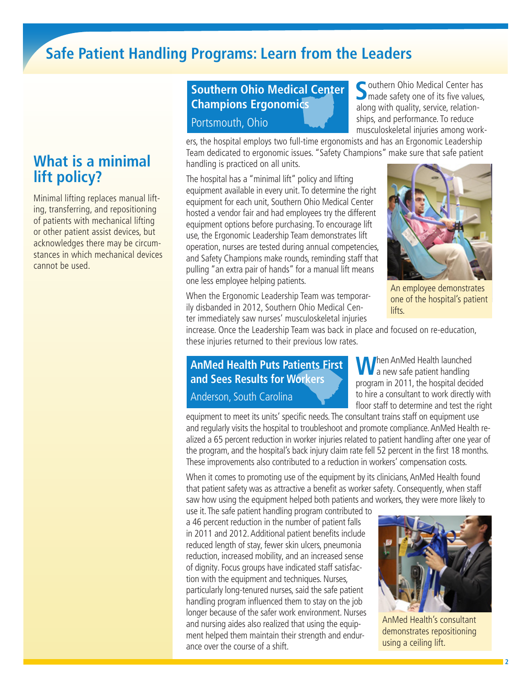## **Safe Patient Handling Programs: Learn from the Leaders**

## **What is a minimal lift policy?**

Minimal lifting replaces manual lifting, transferring, and repositioning of patients with mechanical lifting or other patient assist devices, but acknowledges there may be circumstances in which mechanical devices cannot be used.

## **Southern Ohio Medical Center Champions Ergonomics**

#### Portsmouth, Ohio

Southern Ohio Medical Center has<br> **S** made safety one of its five values, along with quality, service, relationships, and performance. To reduce musculoskeletal injuries among work-

ers, the hospital employs two full-time ergonomists and has an Ergonomic Leadership Team dedicated to ergonomic issues. "Safety Champions" make sure that safe patient handling is practiced on all units.

The hospital has a "minimal lift" policy and lifting equipment available in every unit. To determine the right equipment for each unit, Southern Ohio Medical Center hosted a vendor fair and had employees try the different equipment options before purchasing. To encourage lift use, the Ergonomic Leadership Team demonstrates lift operation, nurses are tested during annual competencies, and Safety Champions make rounds, reminding staff that pulling "an extra pair of hands" for a manual lift means one less employee helping patients.



An employee demonstrates one of the hospital's patient lifts.

When the Ergonomic Leadership Team was temporarily disbanded in 2012, Southern Ohio Medical Center immediately saw nurses' musculoskeletal injuries

increase. Once the Leadership Team was back in place and focused on re-education, these injuries returned to their previous low rates.

## **AnMed Health Puts Patients First and Sees Results for Workers**

Anderson, South Carolina

**W**hen AnMed Health launched a new safe patient handling program in 2011, the hospital decided to hire a consultant to work directly with floor staff to determine and test the right

equipment to meet its units' specific needs. The consultant trains staff on equipment use and regularly visits the hospital to troubleshoot and promote compliance. AnMed Health realized a 65 percent reduction in worker injuries related to patient handling after one year of the program, and the hospital's back injury claim rate fell 52 percent in the first 18 months. These improvements also contributed to a reduction in workers' compensation costs.

When it comes to promoting use of the equipment by its clinicians, AnMed Health found that patient safety was as attractive a benefit as worker safety. Consequently, when staff saw how using the equipment helped both patients and workers, they were more likely to

use it. The safe patient handling program contributed to a 46 percent reduction in the number of patient falls in 2011 and 2012. Additional patient benefits include reduced length of stay, fewer skin ulcers, pneumonia reduction, increased mobility, and an increased sense of dignity. Focus groups have indicated staff satisfaction with the equipment and techniques. Nurses, particularly long-tenured nurses, said the safe patient handling program influenced them to stay on the job longer because of the safer work environment. Nurses and nursing aides also realized that using the equipment helped them maintain their strength and endurance over the course of a shift.



AnMed Health's consultant demonstrates repositioning using a ceiling lift.